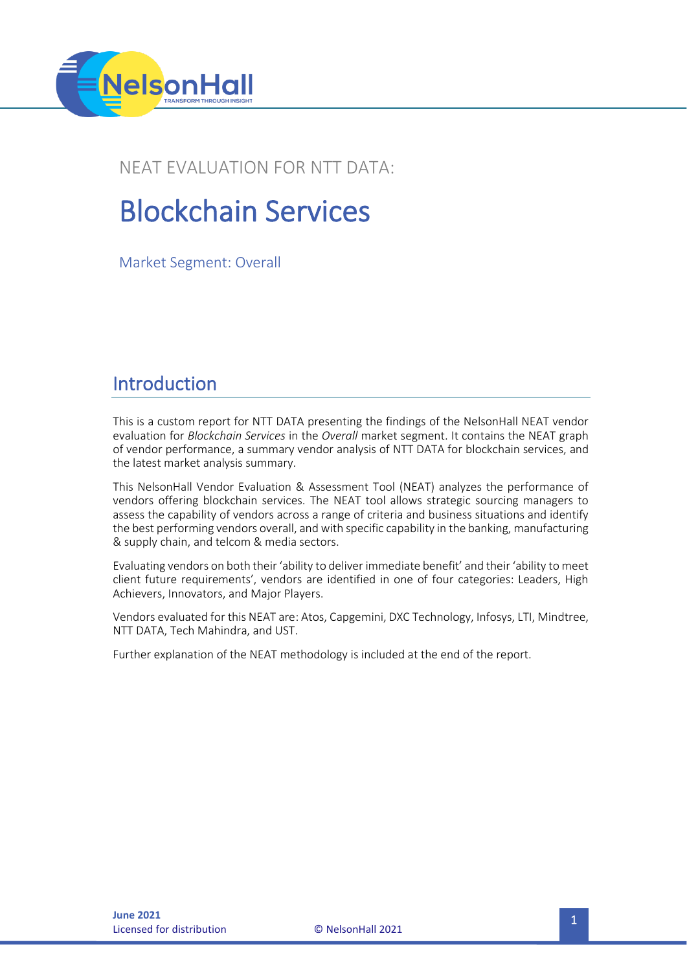

### NEAT EVALUATION FOR NTT DATA:

# Blockchain Services

Market Segment: Overall

### Introduction

This is a custom report for NTT DATA presenting the findings of the NelsonHall NEAT vendor evaluation for *Blockchain Services* in the *Overall* market segment. It contains the NEAT graph of vendor performance, a summary vendor analysis of NTT DATA for blockchain services, and the latest market analysis summary.

This NelsonHall Vendor Evaluation & Assessment Tool (NEAT) analyzes the performance of vendors offering blockchain services. The NEAT tool allows strategic sourcing managers to assess the capability of vendors across a range of criteria and business situations and identify the best performing vendors overall, and with specific capability in the banking, manufacturing & supply chain, and telcom & media sectors.

Evaluating vendors on both their 'ability to deliver immediate benefit' and their 'ability to meet client future requirements', vendors are identified in one of four categories: Leaders, High Achievers, Innovators, and Major Players.

Vendors evaluated for this NEAT are: Atos, Capgemini, DXC Technology, Infosys, LTI, Mindtree, NTT DATA, Tech Mahindra, and UST.

Further explanation of the NEAT methodology is included at the end of the report.

**Licensed for distribution**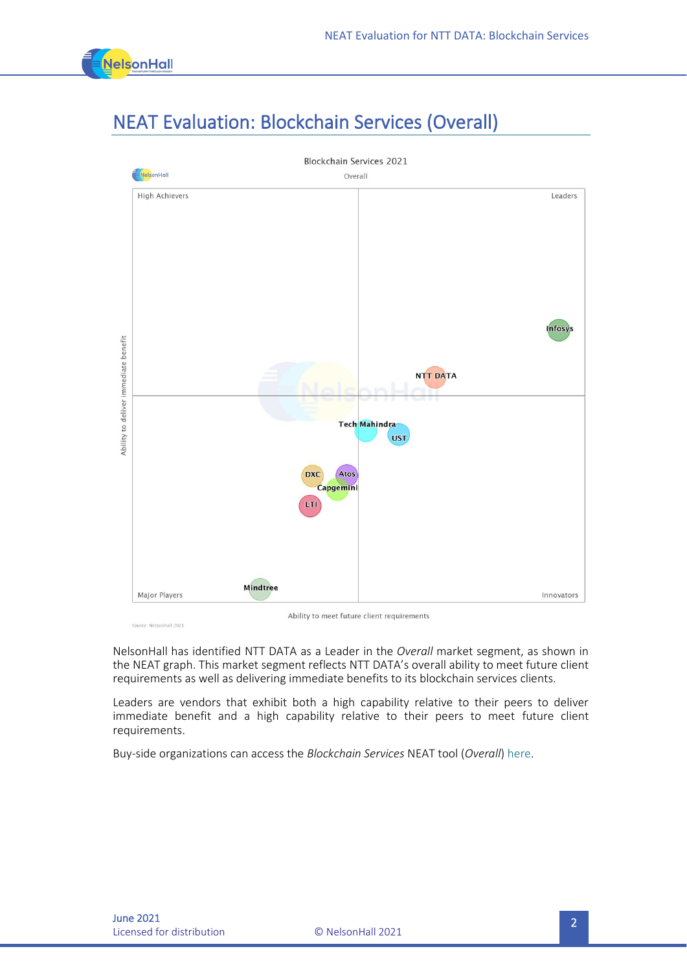

# NEAT Evaluation: Blockchain Services (Overall)



Source: NelsonHall 2021

Ability to meet future client requirements

NelsonHall has identified NTT DATA as a Leader in the *Overall* market segment, as shown in the NEAT graph. This market segment reflects NTT DATA's overall ability to meet future client requirements as well as delivering immediate benefits to its blockchain services clients.

Leaders are vendors that exhibit both a high capability relative to their peers to deliver immediate benefit and a high capability relative to their peers to meet future client requirements.

Buy-side organizations can access the *Blockchain Services* NEAT tool (*Overall*[\) here.](https://research.nelson-hall.com/sourcing-expertise/neat-reports/?avpage-views=neat&avpage-views=neat&NEATaction=viewProject&project=271)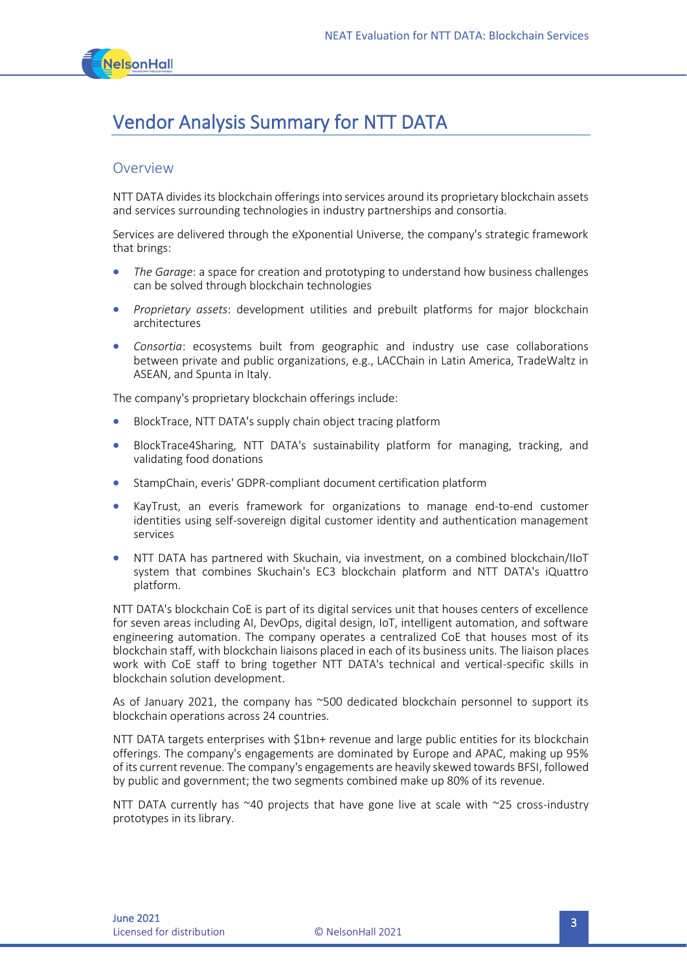

## Vendor Analysis Summary for NTT DATA

#### **Overview**

NTT DATA divides its blockchain offerings into services around its proprietary blockchain assets and services surrounding technologies in industry partnerships and consortia.

Services are delivered through the eXponential Universe, the company's strategic framework that brings:

- *The Garage*: a space for creation and prototyping to understand how business challenges can be solved through blockchain technologies
- *Proprietary assets*: development utilities and prebuilt platforms for major blockchain architectures
- *Consortia*: ecosystems built from geographic and industry use case collaborations between private and public organizations, e.g., LACChain in Latin America, TradeWaltz in ASEAN, and Spunta in Italy.

The company's proprietary blockchain offerings include:

- BlockTrace, NTT DATA's supply chain object tracing platform
- BlockTrace4Sharing, NTT DATA's sustainability platform for managing, tracking, and validating food donations
- StampChain, everis' GDPR-compliant document certification platform
- KayTrust, an everis framework for organizations to manage end-to-end customer identities using self-sovereign digital customer identity and authentication management services
- NTT DATA has partnered with Skuchain, via investment, on a combined blockchain/IIoT system that combines Skuchain's EC3 blockchain platform and NTT DATA's iQuattro platform.

NTT DATA's blockchain CoE is part of its digital services unit that houses centers of excellence for seven areas including AI, DevOps, digital design, IoT, intelligent automation, and software engineering automation. The company operates a centralized CoE that houses most of its blockchain staff, with blockchain liaisons placed in each of its business units. The liaison places work with CoE staff to bring together NTT DATA's technical and vertical-specific skills in blockchain solution development.

As of January 2021, the company has ~500 dedicated blockchain personnel to support its blockchain operations across 24 countries.

NTT DATA targets enterprises with \$1bn+ revenue and large public entities for its blockchain offerings. The company's engagements are dominated by Europe and APAC, making up 95% of its current revenue. The company's engagements are heavily skewed towards BFSI, followed by public and government; the two segments combined make up 80% of its revenue.

NTT DATA currently has  $40$  projects that have gone live at scale with  $25$  cross-industry prototypes in its library.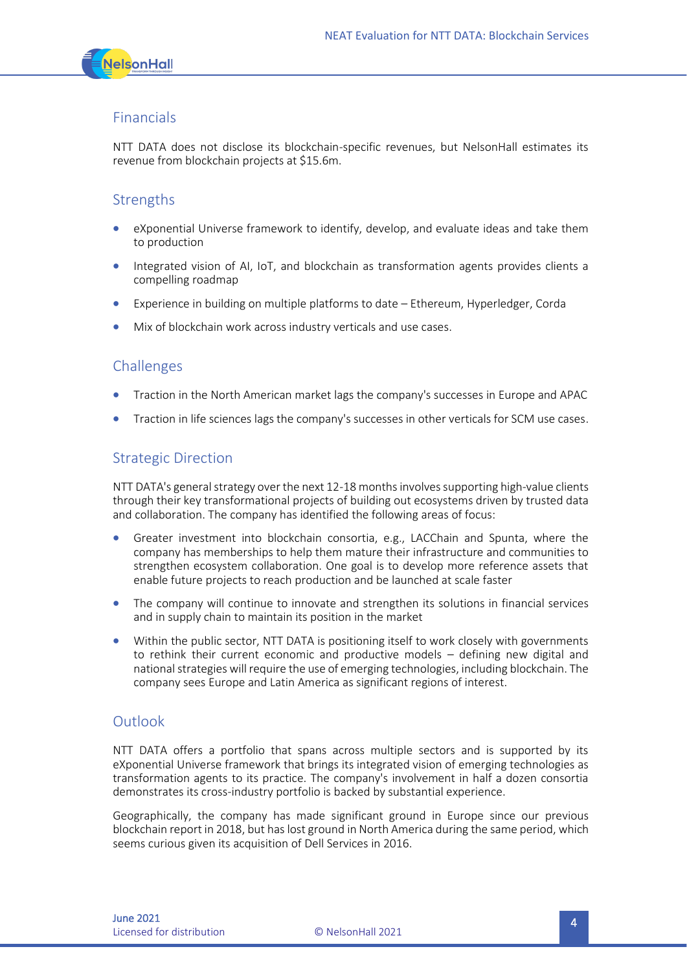

#### Financials

NTT DATA does not disclose its blockchain-specific revenues, but NelsonHall estimates its revenue from blockchain projects at \$15.6m.

#### **Strengths**

- eXponential Universe framework to identify, develop, and evaluate ideas and take them to production
- Integrated vision of AI, IoT, and blockchain as transformation agents provides clients a compelling roadmap
- Experience in building on multiple platforms to date Ethereum, Hyperledger, Corda
- Mix of blockchain work across industry verticals and use cases.

#### Challenges

- Traction in the North American market lags the company's successes in Europe and APAC
- Traction in life sciences lags the company's successes in other verticals for SCM use cases.

#### Strategic Direction

NTT DATA's general strategy over the next 12-18 months involves supporting high-value clients through their key transformational projects of building out ecosystems driven by trusted data and collaboration. The company has identified the following areas of focus:

- Greater investment into blockchain consortia, e.g., LACChain and Spunta, where the company has memberships to help them mature their infrastructure and communities to strengthen ecosystem collaboration. One goal is to develop more reference assets that enable future projects to reach production and be launched at scale faster
- The company will continue to innovate and strengthen its solutions in financial services and in supply chain to maintain its position in the market
- Within the public sector, NTT DATA is positioning itself to work closely with governments to rethink their current economic and productive models – defining new digital and national strategies will require the use of emerging technologies, including blockchain. The company sees Europe and Latin America as significant regions of interest.

#### Outlook

NTT DATA offers a portfolio that spans across multiple sectors and is supported by its eXponential Universe framework that brings its integrated vision of emerging technologies as transformation agents to its practice. The company's involvement in half a dozen consortia demonstrates its cross-industry portfolio is backed by substantial experience.

Geographically, the company has made significant ground in Europe since our previous blockchain report in 2018, but has lost ground in North America during the same period, which seems curious given its acquisition of Dell Services in 2016.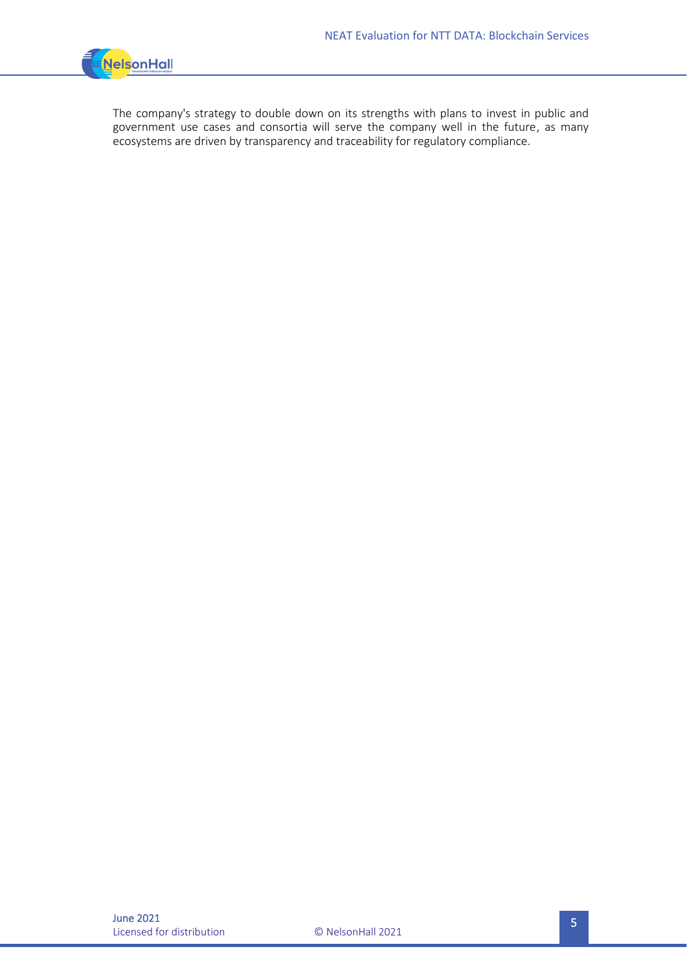

The company's strategy to double down on its strengths with plans to invest in public and government use cases and consortia will serve the company well in the future, as many ecosystems are driven by transparency and traceability for regulatory compliance.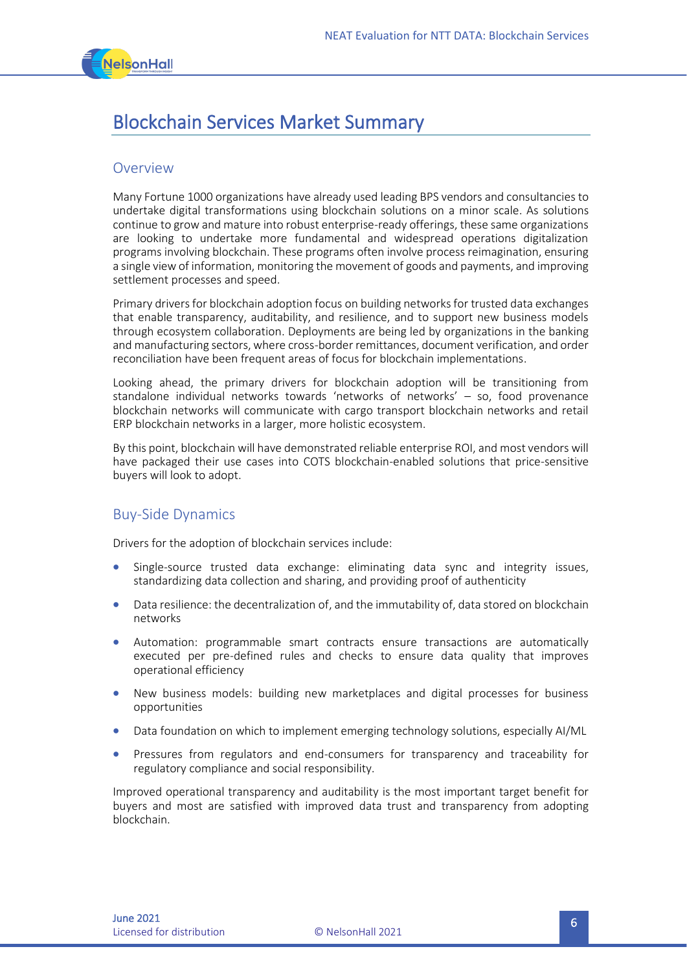

### Blockchain Services Market Summary

#### **Overview**

Many Fortune 1000 organizations have already used leading BPS vendors and consultancies to undertake digital transformations using blockchain solutions on a minor scale. As solutions continue to grow and mature into robust enterprise-ready offerings, these same organizations are looking to undertake more fundamental and widespread operations digitalization programs involving blockchain. These programs often involve process reimagination, ensuring a single view of information, monitoring the movement of goods and payments, and improving settlement processes and speed.

Primary drivers for blockchain adoption focus on building networks for trusted data exchanges that enable transparency, auditability, and resilience, and to support new business models through ecosystem collaboration. Deployments are being led by organizations in the banking and manufacturing sectors, where cross-border remittances, document verification, and order reconciliation have been frequent areas of focus for blockchain implementations.

Looking ahead, the primary drivers for blockchain adoption will be transitioning from standalone individual networks towards 'networks of networks' – so, food provenance blockchain networks will communicate with cargo transport blockchain networks and retail ERP blockchain networks in a larger, more holistic ecosystem.

By this point, blockchain will have demonstrated reliable enterprise ROI, and most vendors will have packaged their use cases into COTS blockchain-enabled solutions that price-sensitive buyers will look to adopt.

#### Buy-Side Dynamics

Drivers for the adoption of blockchain services include:

- Single-source trusted data exchange: eliminating data sync and integrity issues, standardizing data collection and sharing, and providing proof of authenticity
- Data resilience: the decentralization of, and the immutability of, data stored on blockchain networks
- Automation: programmable smart contracts ensure transactions are automatically executed per pre-defined rules and checks to ensure data quality that improves operational efficiency
- New business models: building new marketplaces and digital processes for business opportunities
- Data foundation on which to implement emerging technology solutions, especially AI/ML
- Pressures from regulators and end-consumers for transparency and traceability for regulatory compliance and social responsibility.

Improved operational transparency and auditability is the most important target benefit for buyers and most are satisfied with improved data trust and transparency from adopting blockchain.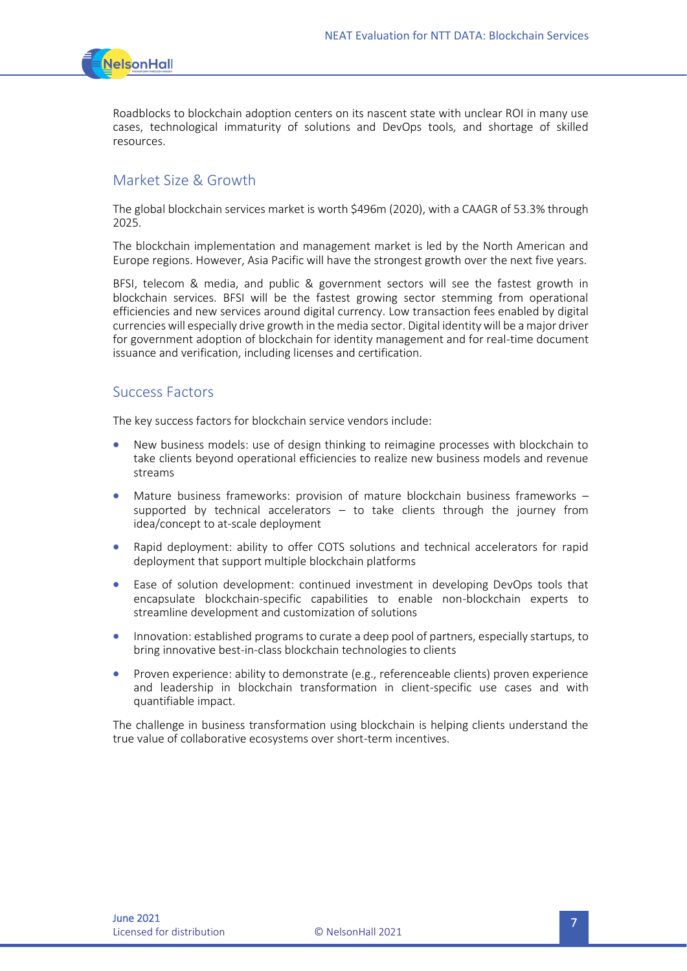

Roadblocks to blockchain adoption centers on its nascent state with unclear ROI in many use cases, technological immaturity of solutions and DevOps tools, and shortage of skilled resources.

#### Market Size & Growth

The global blockchain services market is worth \$496m (2020), with a CAAGR of 53.3% through 2025.

The blockchain implementation and management market is led by the North American and Europe regions. However, Asia Pacific will have the strongest growth over the next five years.

BFSI, telecom & media, and public & government sectors will see the fastest growth in blockchain services. BFSI will be the fastest growing sector stemming from operational efficiencies and new services around digital currency. Low transaction fees enabled by digital currencies will especially drive growth in the media sector. Digital identity will be a major driver for government adoption of blockchain for identity management and for real-time document issuance and verification, including licenses and certification.

#### Success Factors

The key success factors for blockchain service vendors include:

- New business models: use of design thinking to reimagine processes with blockchain to take clients beyond operational efficiencies to realize new business models and revenue streams
- Mature business frameworks: provision of mature blockchain business frameworks supported by technical accelerators – to take clients through the journey from idea/concept to at-scale deployment
- Rapid deployment: ability to offer COTS solutions and technical accelerators for rapid deployment that support multiple blockchain platforms
- Ease of solution development: continued investment in developing DevOps tools that encapsulate blockchain-specific capabilities to enable non-blockchain experts to streamline development and customization of solutions
- Innovation: established programs to curate a deep pool of partners, especially startups, to bring innovative best-in-class blockchain technologies to clients
- Proven experience: ability to demonstrate (e.g., referenceable clients) proven experience and leadership in blockchain transformation in client-specific use cases and with quantifiable impact.

The challenge in business transformation using blockchain is helping clients understand the true value of collaborative ecosystems over short-term incentives.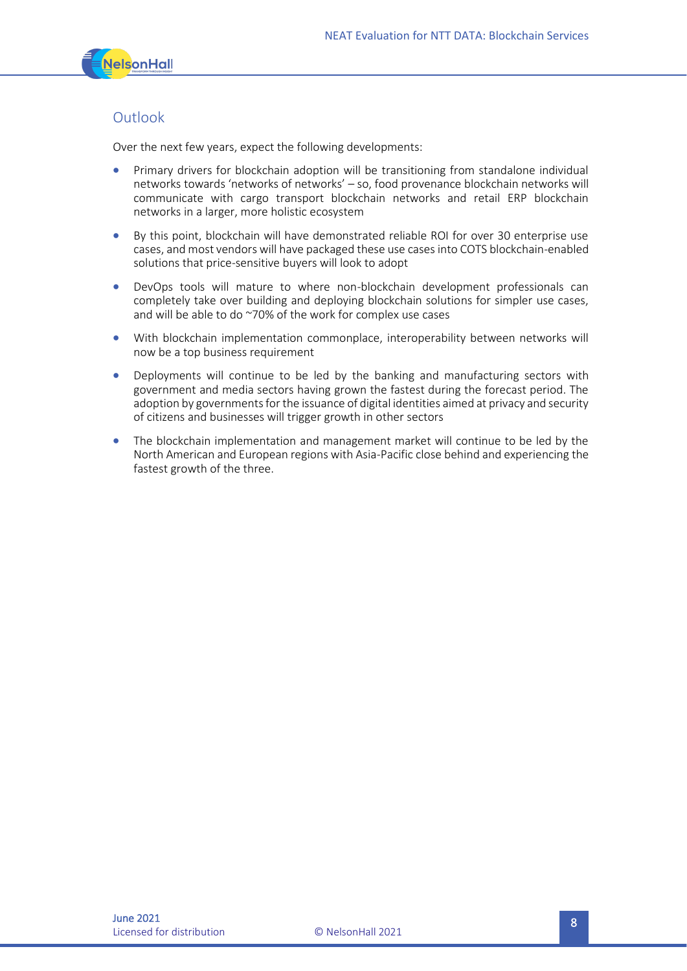

#### **Outlook**

Over the next few years, expect the following developments:

- Primary drivers for blockchain adoption will be transitioning from standalone individual networks towards 'networks of networks' – so, food provenance blockchain networks will communicate with cargo transport blockchain networks and retail ERP blockchain networks in a larger, more holistic ecosystem
- By this point, blockchain will have demonstrated reliable ROI for over 30 enterprise use cases, and most vendors will have packaged these use cases into COTS blockchain-enabled solutions that price-sensitive buyers will look to adopt
- DevOps tools will mature to where non-blockchain development professionals can completely take over building and deploying blockchain solutions for simpler use cases, and will be able to do ~70% of the work for complex use cases
- With blockchain implementation commonplace, interoperability between networks will now be a top business requirement
- Deployments will continue to be led by the banking and manufacturing sectors with government and media sectors having grown the fastest during the forecast period. The adoption by governments for the issuance of digital identities aimed at privacy and security of citizens and businesses will trigger growth in other sectors
- The blockchain implementation and management market will continue to be led by the North American and European regions with Asia-Pacific close behind and experiencing the fastest growth of the three.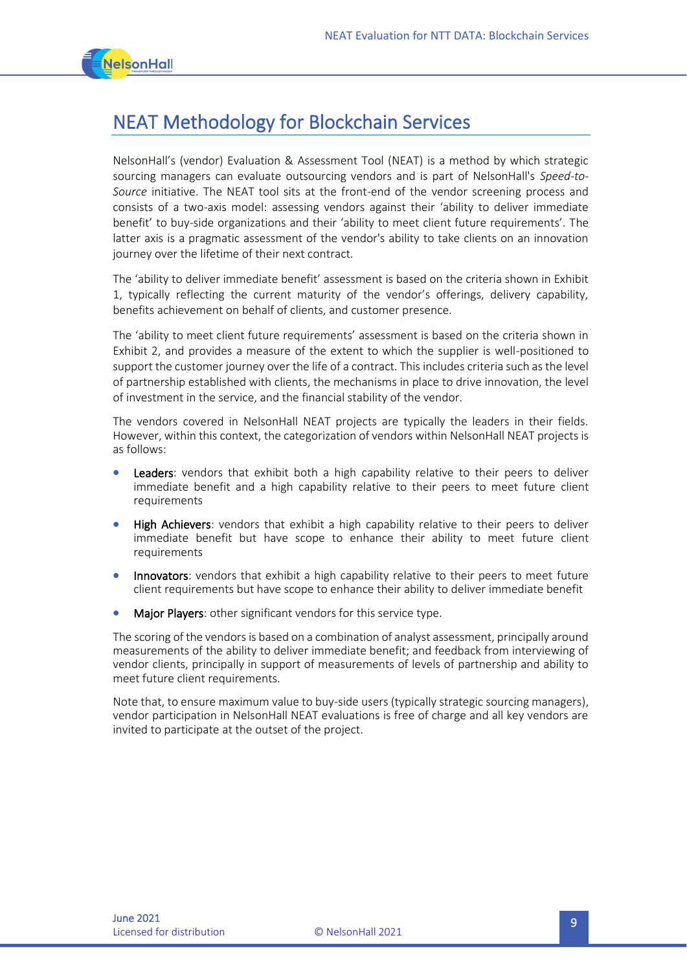

## NEAT Methodology for Blockchain Services

NelsonHall's (vendor) Evaluation & Assessment Tool (NEAT) is a method by which strategic sourcing managers can evaluate outsourcing vendors and is part of NelsonHall's *Speed-to-Source* initiative. The NEAT tool sits at the front-end of the vendor screening process and consists of a two-axis model: assessing vendors against their 'ability to deliver immediate benefit' to buy-side organizations and their 'ability to meet client future requirements'. The latter axis is a pragmatic assessment of the vendor's ability to take clients on an innovation journey over the lifetime of their next contract.

The 'ability to deliver immediate benefit' assessment is based on the criteria shown in Exhibit 1, typically reflecting the current maturity of the vendor's offerings, delivery capability, benefits achievement on behalf of clients, and customer presence.

The 'ability to meet client future requirements' assessment is based on the criteria shown in Exhibit 2, and provides a measure of the extent to which the supplier is well-positioned to support the customer journey over the life of a contract. This includes criteria such as the level of partnership established with clients, the mechanisms in place to drive innovation, the level of investment in the service, and the financial stability of the vendor.

The vendors covered in NelsonHall NEAT projects are typically the leaders in their fields. However, within this context, the categorization of vendors within NelsonHall NEAT projects is as follows:

- Leaders: vendors that exhibit both a high capability relative to their peers to deliver immediate benefit and a high capability relative to their peers to meet future client requirements
- **High Achievers:** vendors that exhibit a high capability relative to their peers to deliver immediate benefit but have scope to enhance their ability to meet future client requirements
- Innovators: vendors that exhibit a high capability relative to their peers to meet future client requirements but have scope to enhance their ability to deliver immediate benefit
- Major Players: other significant vendors for this service type.

The scoring of the vendors is based on a combination of analyst assessment, principally around measurements of the ability to deliver immediate benefit; and feedback from interviewing of vendor clients, principally in support of measurements of levels of partnership and ability to meet future client requirements.

Note that, to ensure maximum value to buy-side users (typically strategic sourcing managers), vendor participation in NelsonHall NEAT evaluations is free of charge and all key vendors are invited to participate at the outset of the project.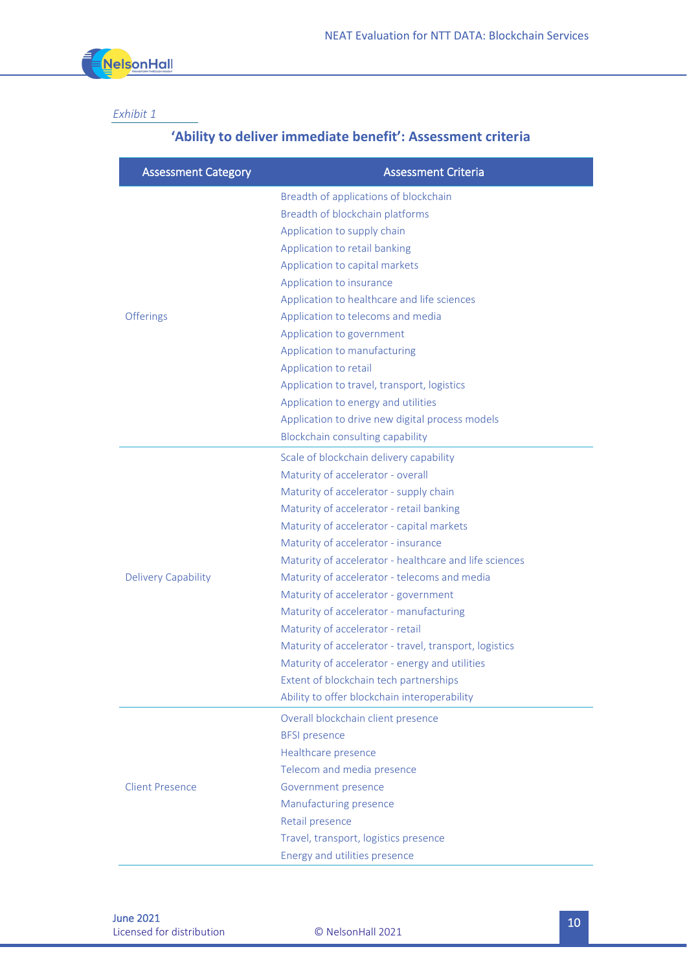

#### *Exhibit 1*

### **'Ability to deliver immediate benefit': Assessment criteria**

| <b>Assessment Category</b> | <b>Assessment Criteria</b>                             |
|----------------------------|--------------------------------------------------------|
| <b>Offerings</b>           | Breadth of applications of blockchain                  |
|                            | Breadth of blockchain platforms                        |
|                            | Application to supply chain                            |
|                            | Application to retail banking                          |
|                            | Application to capital markets                         |
|                            | Application to insurance                               |
|                            | Application to healthcare and life sciences            |
|                            | Application to telecoms and media                      |
|                            | Application to government                              |
|                            | Application to manufacturing                           |
|                            | Application to retail                                  |
|                            | Application to travel, transport, logistics            |
|                            | Application to energy and utilities                    |
|                            | Application to drive new digital process models        |
|                            | Blockchain consulting capability                       |
| <b>Delivery Capability</b> | Scale of blockchain delivery capability                |
|                            | Maturity of accelerator - overall                      |
|                            | Maturity of accelerator - supply chain                 |
|                            | Maturity of accelerator - retail banking               |
|                            | Maturity of accelerator - capital markets              |
|                            | Maturity of accelerator - insurance                    |
|                            | Maturity of accelerator - healthcare and life sciences |
|                            | Maturity of accelerator - telecoms and media           |
|                            | Maturity of accelerator - government                   |
|                            | Maturity of accelerator - manufacturing                |
|                            | Maturity of accelerator - retail                       |
|                            | Maturity of accelerator - travel, transport, logistics |
|                            | Maturity of accelerator - energy and utilities         |
|                            | Extent of blockchain tech partnerships                 |
|                            | Ability to offer blockchain interoperability           |
| <b>Client Presence</b>     | Overall blockchain client presence                     |
|                            | <b>BFSI</b> presence                                   |
|                            | Healthcare presence                                    |
|                            | Telecom and media presence                             |
|                            | Government presence                                    |
|                            | Manufacturing presence                                 |
|                            | Retail presence                                        |
|                            | Travel, transport, logistics presence                  |
|                            | Energy and utilities presence                          |